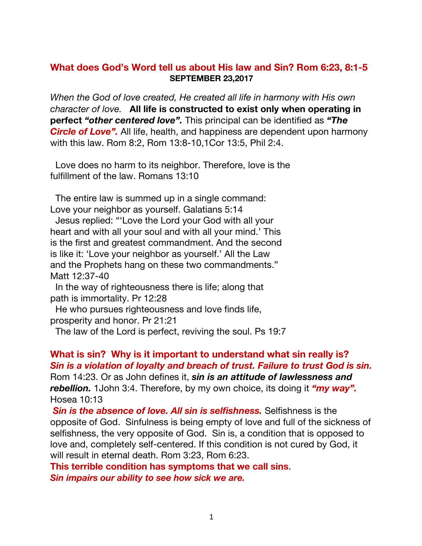## **What does God's Word tell us about His law and Sin? Rom 6:23, 8:1-5 SEPTEMBER 23,2017**

*When the God of love created, He created all life in harmony with His own character of love.* **All life is constructed to exist only when operating in perfect** *"other centered love".* This principal can be identified as *"The Circle of Love".* All life, health, and happiness are dependent upon harmony with this law. Rom 8:2, Rom 13:8-10,1Cor 13:5, Phil 2:4.

 Love does no harm to its neighbor. Therefore, love is the fulfillment of the law. Romans 13:10

 The entire law is summed up in a single command: Love your neighbor as yourself. Galatians 5:14

 Jesus replied: "'Love the Lord your God with all your heart and with all your soul and with all your mind.' This is the first and greatest commandment. And the second is like it: 'Love your neighbor as yourself.' All the Law and the Prophets hang on these two commandments." Matt 12:37-40

 In the way of righteousness there is life; along that path is immortality. Pr 12:28

 He who pursues righteousness and love finds life, prosperity and honor. Pr 21:21

The law of the Lord is perfect, reviving the soul. Ps 19:7

## **What is sin? Why is it important to understand what sin really is?** *Sin is a violation of loyalty and breach of trust. Failure to trust God is sin.*

Rom 14:23. Or as John defines it, *sin is an attitude of lawlessness and rebellion.* 1John 3:4. Therefore, by my own choice, its doing it *"my way".* Hosea 10:13

*Sin is the absence of love. All sin is selfishness.* Selfishness is the opposite of God. Sinfulness is being empty of love and full of the sickness of selfishness, the very opposite of God. Sin is, a condition that is opposed to love and, completely self-centered. If this condition is not cured by God, it will result in eternal death. Rom 3:23, Rom 6:23.

**This terrible condition has symptoms that we call sins**. *Sin impairs our ability to see how sick we are.*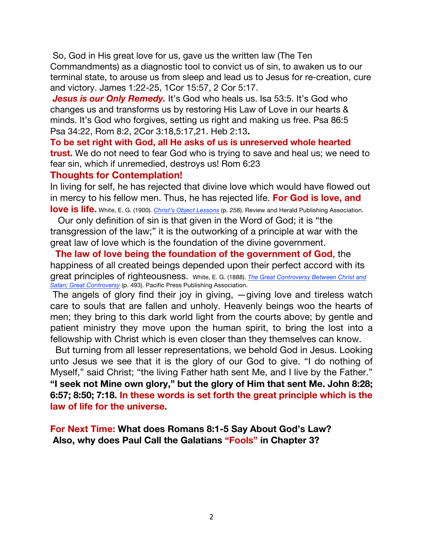So, God in His great love for us, gave us the written law (The Ten Commandments) as a diagnostic tool to convict us of sin, to awaken us to our terminal state, to arouse us from sleep and lead us to Jesus for re-creation, cure and victory. James 1:22-25, 1Cor 15:57, 2 Cor 5:17.

Jesus is our Only Remedy. It's God who heals us. Isa 53:5. It's God who changes us and transforms us by restoring His Law of Love in our hearts & minds. It's God who forgives, setting us right and making us free. Psa 86:5 Psa 34:22, Rom 8:2, 2Cor 3:18,5:17,21. Heb 2:13**.** 

**To be set right with God, all He asks of us is unreserved whole hearted trust.** We do not need to fear God who is trying to save and heal us; we need to fear sin, which if unremedied, destroys us! Rom 6:23

## **Thoughts for Contemplation!**

In living for self, he has rejected that divine love which would have flowed out in mercy to his fellow men. Thus, he has rejected life. **For God is love, and love is life.** White, E. G. (1900). *Christ's Object Lessons* (p. 258). Review and Herald Publishing Association.

 Our only definition of sin is that given in the Word of God; it is "the transgression of the law;" it is the outworking of a principle at war with the great law of love which is the foundation of the divine government.

 **The law of love being the foundation of the government of God**, the happiness of all created beings depended upon their perfect accord with its great principles of righteousness. White, E. G. (1888). *The Great Controversy Between Christ and Satan; Great Controversy* (p. 493). Pacific Press Publishing Association.

The angels of glory find their joy in giving, —giving love and tireless watch care to souls that are fallen and unholy. Heavenly beings woo the hearts of men; they bring to this dark world light from the courts above; by gentle and patient ministry they move upon the human spirit, to bring the lost into a fellowship with Christ which is even closer than they themselves can know.

 But turning from all lesser representations, we behold God in Jesus. Looking unto Jesus we see that it is the glory of our God to give. "I do nothing of Myself," said Christ; "the living Father hath sent Me, and I live by the Father." **"I seek not Mine own glory," but the glory of Him that sent Me. John 8:28; 6:57; 8:50; 7:18. In these words is set forth the great principle which is the law of life for the universe.** 

**For Next Time: What does Romans 8:1-5 Say About God's Law? Also, why does Paul Call the Galatians "Fools" in Chapter 3?**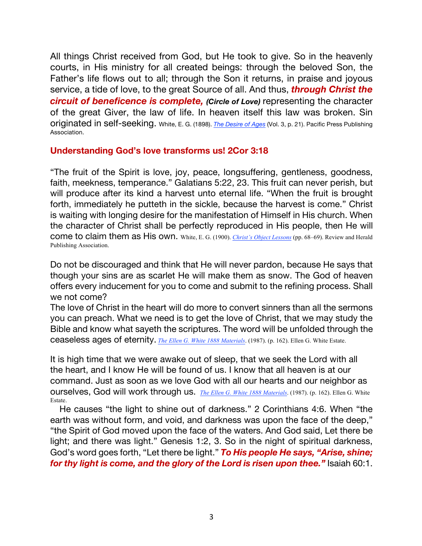All things Christ received from God, but He took to give. So in the heavenly courts, in His ministry for all created beings: through the beloved Son, the Father's life flows out to all; through the Son it returns, in praise and joyous service, a tide of love, to the great Source of all. And thus, *through Christ the circuit of beneficence is complete, (Circle of Love)* representing the character of the great Giver, the law of life. In heaven itself this law was broken. Sin originated in self-seeking. White, E. G. (1898). *The Desire of Ages* (Vol. 3, p. 21). Pacific Press Publishing Association.

## **Understanding God's love transforms us! 2Cor 3:18**

"The fruit of the Spirit is love, joy, peace, longsuffering, gentleness, goodness, faith, meekness, temperance." Galatians 5:22, 23. This fruit can never perish, but will produce after its kind a harvest unto eternal life. "When the fruit is brought forth, immediately he putteth in the sickle, because the harvest is come." Christ is waiting with longing desire for the manifestation of Himself in His church. When the character of Christ shall be perfectly reproduced in His people, then He will come to claim them as His own. White, E. G. (1900). *Christ's Object Lessons* (pp. 68–69). Review and Herald Publishing Association.

Do not be discouraged and think that He will never pardon, because He says that though your sins are as scarlet He will make them as snow. The God of heaven offers every inducement for you to come and submit to the refining process. Shall we not come?

The love of Christ in the heart will do more to convert sinners than all the sermons you can preach. What we need is to get the love of Christ, that we may study the Bible and know what sayeth the scriptures. The word will be unfolded through the ceaseless ages of eternity. *The Ellen G. White 1888 Materials*. (1987). (p. 162). Ellen G. White Estate.

It is high time that we were awake out of sleep, that we seek the Lord with all the heart, and I know He will be found of us. I know that all heaven is at our command. Just as soon as we love God with all our hearts and our neighbor as ourselves, God will work through us. *The Ellen G. White 1888 Materials*. (1987). (p. 162). Ellen G. White Estate.

He causes "the light to shine out of darkness." 2 Corinthians 4:6. When "the earth was without form, and void, and darkness was upon the face of the deep," "the Spirit of God moved upon the face of the waters. And God said, Let there be light; and there was light." Genesis 1:2, 3. So in the night of spiritual darkness, God's word goes forth, "Let there be light." *To His people He says, "Arise, shine; for thy light is come, and the glory of the Lord is risen upon thee."* Isaiah 60:1.